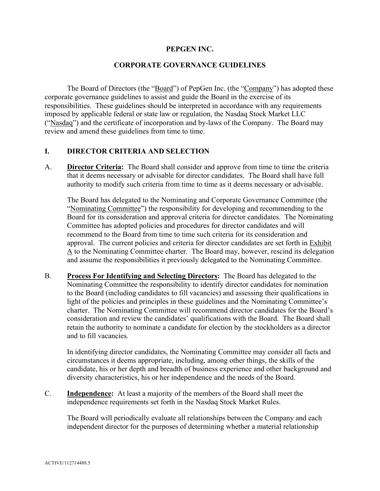#### **PEPGEN INC.**

#### **CORPORATE GOVERNANCE GUIDELINES**

The Board of Directors (the "Board") of PepGen Inc. (the "Company") has adopted these corporate governance guidelines to assist and guide the Board in the exercise of its responsibilities. These guidelines should be interpreted in accordance with any requirements imposed by applicable federal or state law or regulation, the Nasdaq Stock Market LLC ("Nasdaq") and the certificate of incorporation and by-laws of the Company. The Board may review and amend these guidelines from time to time.

## **I. DIRECTOR CRITERIA AND SELECTION**

A. **Director Criteria:** The Board shall consider and approve from time to time the criteria that it deems necessary or advisable for director candidates. The Board shall have full authority to modify such criteria from time to time as it deems necessary or advisable.

The Board has delegated to the Nominating and Corporate Governance Committee (the "Nominating Committee") the responsibility for developing and recommending to the Board for its consideration and approval criteria for director candidates. The Nominating Committee has adopted policies and procedures for director candidates and will recommend to the Board from time to time such criteria for its consideration and approval. The current policies and criteria for director candidates are set forth in Exhibit  $\underline{A}$  to the Nominating Committee charter. The Board may, however, rescind its delegation and assume the responsibilities it previously delegated to the Nominating Committee.

B. **Process For Identifying and Selecting Directors:** The Board has delegated to the Nominating Committee the responsibility to identify director candidates for nomination to the Board (including candidates to fill vacancies) and assessing their qualifications in light of the policies and principles in these guidelines and the Nominating Committee's charter. The Nominating Committee will recommend director candidates for the Board's consideration and review the candidates' qualifications with the Board. The Board shall retain the authority to nominate a candidate for election by the stockholders as a director and to fill vacancies.

In identifying director candidates, the Nominating Committee may consider all facts and circumstances it deems appropriate, including, among other things, the skills of the candidate, his or her depth and breadth of business experience and other background and diversity characteristics, his or her independence and the needs of the Board.

C. **Independence:** At least a majority of the members of the Board shall meet the independence requirements set forth in the Nasdaq Stock Market Rules.

The Board will periodically evaluate all relationships between the Company and each independent director for the purposes of determining whether a material relationship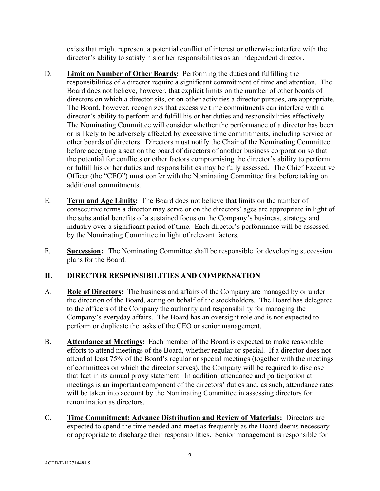exists that might represent a potential conflict of interest or otherwise interfere with the director's ability to satisfy his or her responsibilities as an independent director.

- D. **Limit on Number of Other Boards:** Performing the duties and fulfilling the responsibilities of a director require a significant commitment of time and attention. The Board does not believe, however, that explicit limits on the number of other boards of directors on which a director sits, or on other activities a director pursues, are appropriate. The Board, however, recognizes that excessive time commitments can interfere with a director's ability to perform and fulfill his or her duties and responsibilities effectively. The Nominating Committee will consider whether the performance of a director has been or is likely to be adversely affected by excessive time commitments, including service on other boards of directors. Directors must notify the Chair of the Nominating Committee before accepting a seat on the board of directors of another business corporation so that the potential for conflicts or other factors compromising the director's ability to perform or fulfill his or her duties and responsibilities may be fully assessed. The Chief Executive Officer (the "CEO") must confer with the Nominating Committee first before taking on additional commitments.
- E. **Term and Age Limits:** The Board does not believe that limits on the number of consecutive terms a director may serve or on the directors' ages are appropriate in light of the substantial benefits of a sustained focus on the Company's business, strategy and industry over a significant period of time. Each director's performance will be assessed by the Nominating Committee in light of relevant factors.
- F. **Succession:** The Nominating Committee shall be responsible for developing succession plans for the Board.

# **II. DIRECTOR RESPONSIBILITIES AND COMPENSATION**

- A. **Role of Directors:** The business and affairs of the Company are managed by or under the direction of the Board, acting on behalf of the stockholders. The Board has delegated to the officers of the Company the authority and responsibility for managing the Company's everyday affairs. The Board has an oversight role and is not expected to perform or duplicate the tasks of the CEO or senior management.
- B. **Attendance at Meetings:** Each member of the Board is expected to make reasonable efforts to attend meetings of the Board, whether regular or special. If a director does not attend at least 75% of the Board's regular or special meetings (together with the meetings of committees on which the director serves), the Company will be required to disclose that fact in its annual proxy statement. In addition, attendance and participation at meetings is an important component of the directors' duties and, as such, attendance rates will be taken into account by the Nominating Committee in assessing directors for renomination as directors.
- C. **Time Commitment; Advance Distribution and Review of Materials:** Directors are expected to spend the time needed and meet as frequently as the Board deems necessary or appropriate to discharge their responsibilities. Senior management is responsible for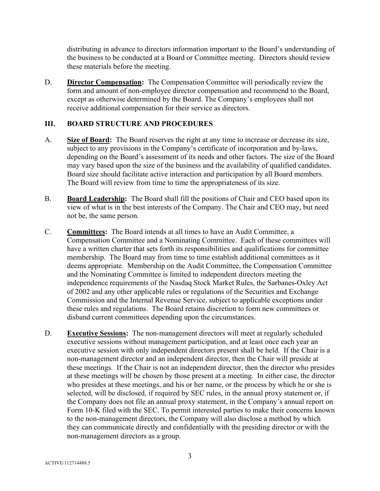distributing in advance to directors information important to the Board's understanding of the business to be conducted at a Board or Committee meeting. Directors should review these materials before the meeting.

D. **Director Compensation:** The Compensation Committee will periodically review the form and amount of non-employee director compensation and recommend to the Board, except as otherwise determined by the Board. The Company's employees shall not receive additional compensation for their service as directors.

## **III. BOARD STRUCTURE AND PROCEDURES**

- A. **Size of Board:** The Board reserves the right at any time to increase or decrease its size, subject to any provisions in the Company's certificate of incorporation and by-laws, depending on the Board's assessment of its needs and other factors. The size of the Board may vary based upon the size of the business and the availability of qualified candidates. Board size should facilitate active interaction and participation by all Board members. The Board will review from time to time the appropriateness of its size.
- B. **Board Leadership:** The Board shall fill the positions of Chair and CEO based upon its view of what is in the best interests of the Company. The Chair and CEO may, but need not be, the same person.
- C. **Committees:** The Board intends at all times to have an Audit Committee, a Compensation Committee and a Nominating Committee. Each of these committees will have a written charter that sets forth its responsibilities and qualifications for committee membership. The Board may from time to time establish additional committees as it deems appropriate. Membership on the Audit Committee, the Compensation Committee and the Nominating Committee is limited to independent directors meeting the independence requirements of the Nasdaq Stock Market Rules, the Sarbanes-Oxley Act of 2002 and any other applicable rules or regulations of the Securities and Exchange Commission and the Internal Revenue Service, subject to applicable exceptions under these rules and regulations. The Board retains discretion to form new committees or disband current committees depending upon the circumstances.
- D. **Executive Sessions:** The non-management directors will meet at regularly scheduled executive sessions without management participation, and at least once each year an executive session with only independent directors present shall be held. If the Chair is a non-management director and an independent director, then the Chair will preside at these meetings. If the Chair is not an independent director, then the director who presides at these meetings will be chosen by those present at a meeting. In either case, the director who presides at these meetings, and his or her name, or the process by which he or she is selected, will be disclosed, if required by SEC rules, in the annual proxy statement or, if the Company does not file an annual proxy statement, in the Company's annual report on Form 10-K filed with the SEC. To permit interested parties to make their concerns known to the non-management directors, the Company will also disclose a method by which they can communicate directly and confidentially with the presiding director or with the non-management directors as a group.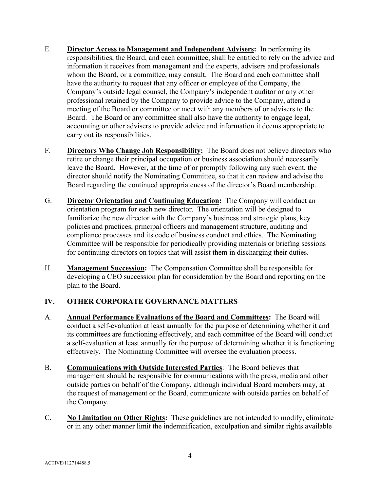- E. **Director Access to Management and Independent Advisers:** In performing its responsibilities, the Board, and each committee, shall be entitled to rely on the advice and information it receives from management and the experts, advisers and professionals whom the Board, or a committee, may consult. The Board and each committee shall have the authority to request that any officer or employee of the Company, the Company's outside legal counsel, the Company's independent auditor or any other professional retained by the Company to provide advice to the Company, attend a meeting of the Board or committee or meet with any members of or advisers to the Board. The Board or any committee shall also have the authority to engage legal, accounting or other advisers to provide advice and information it deems appropriate to carry out its responsibilities.
- F. **Directors Who Change Job Responsibility:** The Board does not believe directors who retire or change their principal occupation or business association should necessarily leave the Board. However, at the time of or promptly following any such event, the director should notify the Nominating Committee, so that it can review and advise the Board regarding the continued appropriateness of the director's Board membership.
- G. **Director Orientation and Continuing Education:** The Company will conduct an orientation program for each new director. The orientation will be designed to familiarize the new director with the Company's business and strategic plans, key policies and practices, principal officers and management structure, auditing and compliance processes and its code of business conduct and ethics. The Nominating Committee will be responsible for periodically providing materials or briefing sessions for continuing directors on topics that will assist them in discharging their duties.
- H. **Management Succession:** The Compensation Committee shall be responsible for developing a CEO succession plan for consideration by the Board and reporting on the plan to the Board.

# **IV. OTHER CORPORATE GOVERNANCE MATTERS**

- A. **Annual Performance Evaluations of the Board and Committees:** The Board will conduct a self-evaluation at least annually for the purpose of determining whether it and its committees are functioning effectively, and each committee of the Board will conduct a self-evaluation at least annually for the purpose of determining whether it is functioning effectively. The Nominating Committee will oversee the evaluation process.
- B. **Communications with Outside Interested Parties**: The Board believes that management should be responsible for communications with the press, media and other outside parties on behalf of the Company, although individual Board members may, at the request of management or the Board, communicate with outside parties on behalf of the Company.
- C. **No Limitation on Other Rights:** These guidelines are not intended to modify, eliminate or in any other manner limit the indemnification, exculpation and similar rights available